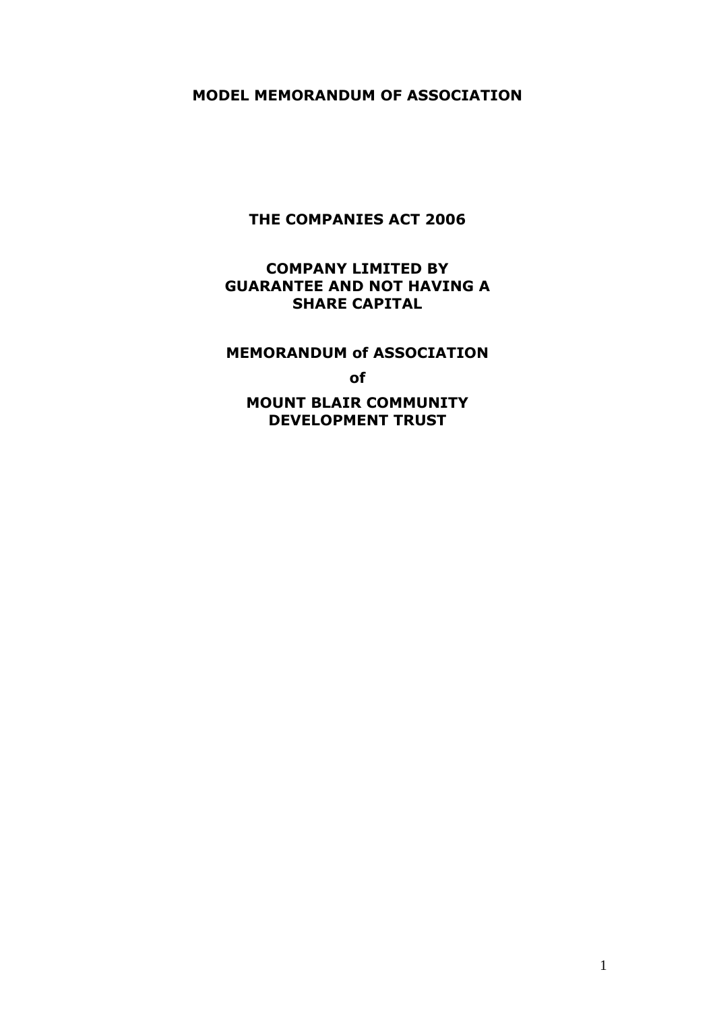## **MODEL MEMORANDUM OF ASSOCIATION**

# **THE COMPANIES ACT 2006**

# **COMPANY LIMITED BY GUARANTEE AND NOT HAVING A SHARE CAPITAL**

# **MEMORANDUM of ASSOCIATION**

**of**

**MOUNT BLAIR COMMUNITY DEVELOPMENT TRUST**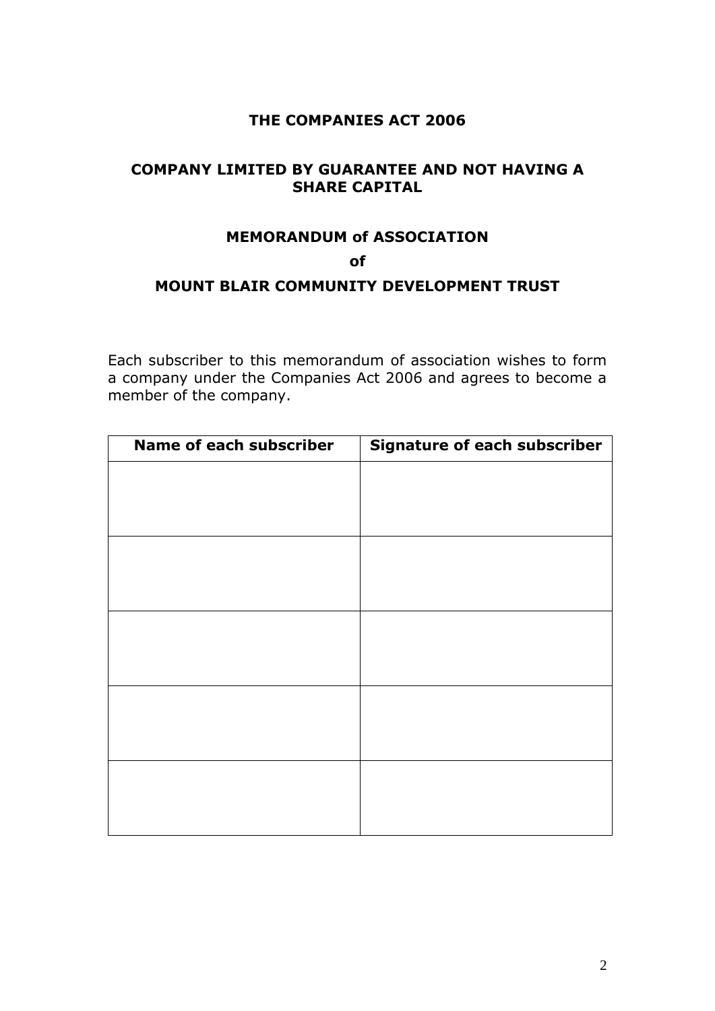# **THE COMPANIES ACT 2006**

# **COMPANY LIMITED BY GUARANTEE AND NOT HAVING A SHARE CAPITAL**

# **MEMORANDUM of ASSOCIATION**

**of**

# **MOUNT BLAIR COMMUNITY DEVELOPMENT TRUST**

Each subscriber to this memorandum of association wishes to form a company under the Companies Act 2006 and agrees to become a member of the company.

| Name of each subscriber | <b>Signature of each subscriber</b> |  |
|-------------------------|-------------------------------------|--|
|                         |                                     |  |
|                         |                                     |  |
|                         |                                     |  |
|                         |                                     |  |
|                         |                                     |  |
|                         |                                     |  |
|                         |                                     |  |
|                         |                                     |  |
|                         |                                     |  |
|                         |                                     |  |
|                         |                                     |  |
|                         |                                     |  |
|                         |                                     |  |
|                         |                                     |  |
|                         |                                     |  |
|                         |                                     |  |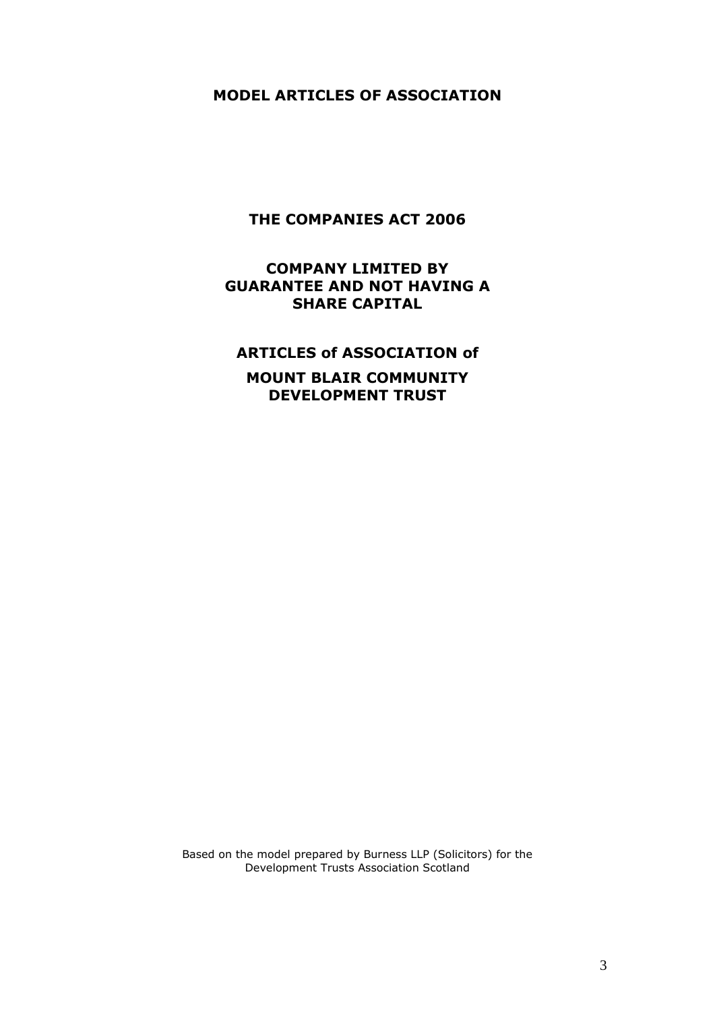## **MODEL ARTICLES OF ASSOCIATION**

# **THE COMPANIES ACT 2006**

# **COMPANY LIMITED BY GUARANTEE AND NOT HAVING A SHARE CAPITAL**

# **ARTICLES of ASSOCIATION of**

# **MOUNT BLAIR COMMUNITY DEVELOPMENT TRUST**

Based on the model prepared by Burness LLP (Solicitors) for the Development Trusts Association Scotland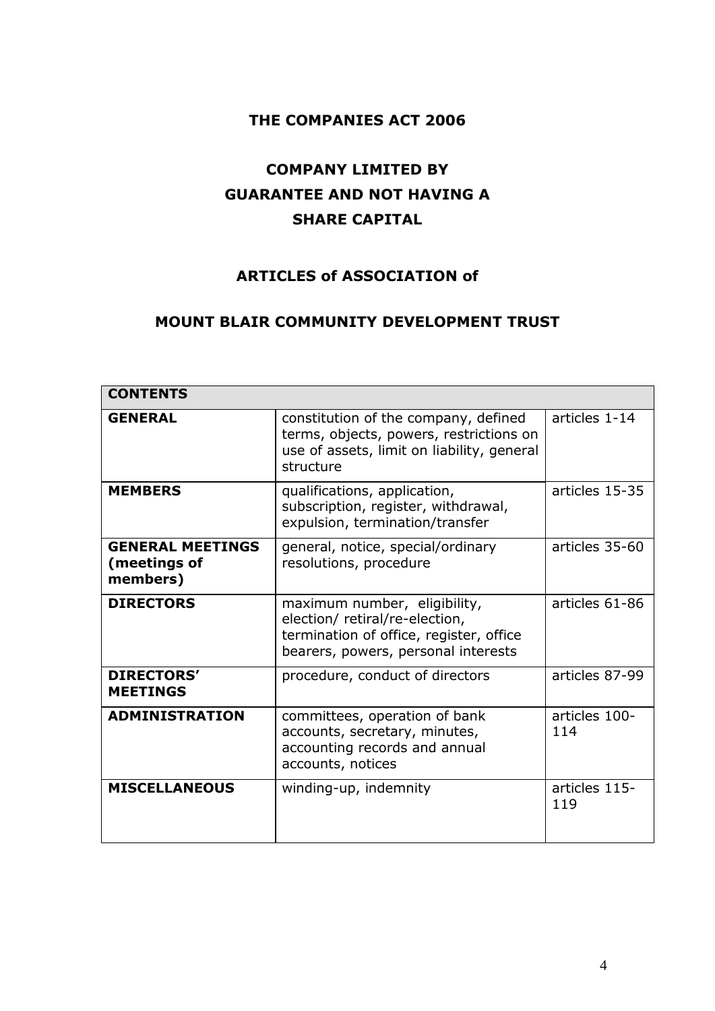# **THE COMPANIES ACT 2006**

# **COMPANY LIMITED BY GUARANTEE AND NOT HAVING A SHARE CAPITAL**

# **ARTICLES of ASSOCIATION of**

# **MOUNT BLAIR COMMUNITY DEVELOPMENT TRUST**

| <b>CONTENTS</b>                                     |                                                                                                                                                  |                      |
|-----------------------------------------------------|--------------------------------------------------------------------------------------------------------------------------------------------------|----------------------|
| <b>GENERAL</b>                                      | constitution of the company, defined<br>terms, objects, powers, restrictions on<br>use of assets, limit on liability, general<br>structure       | articles 1-14        |
| <b>MEMBERS</b>                                      | qualifications, application,<br>subscription, register, withdrawal,<br>expulsion, termination/transfer                                           | articles 15-35       |
| <b>GENERAL MEETINGS</b><br>(meetings of<br>members) | general, notice, special/ordinary<br>resolutions, procedure                                                                                      | articles 35-60       |
| <b>DIRECTORS</b>                                    | maximum number, eligibility,<br>election/ retiral/re-election,<br>termination of office, register, office<br>bearers, powers, personal interests | articles 61-86       |
| <b>DIRECTORS'</b><br><b>MEETINGS</b>                | procedure, conduct of directors                                                                                                                  | articles 87-99       |
| <b>ADMINISTRATION</b>                               | committees, operation of bank<br>accounts, secretary, minutes,<br>accounting records and annual<br>accounts, notices                             | articles 100-<br>114 |
| <b>MISCELLANEOUS</b>                                | winding-up, indemnity                                                                                                                            | articles 115-<br>119 |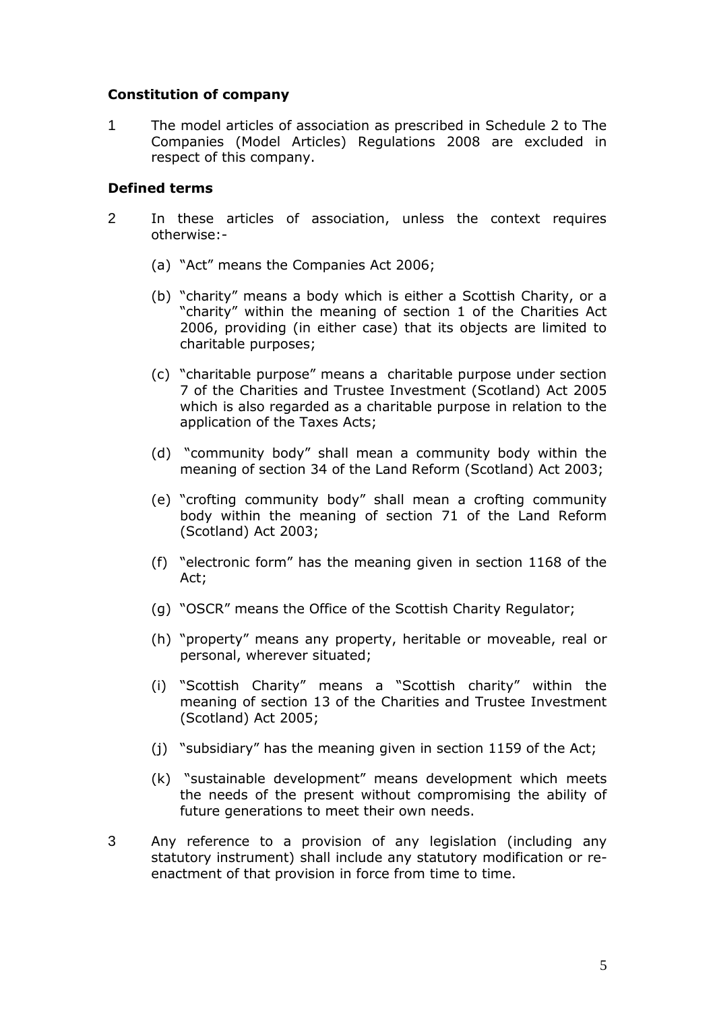## **Constitution of company**

1 The model articles of association as prescribed in Schedule 2 to The Companies (Model Articles) Regulations 2008 are excluded in respect of this company.

#### **Defined terms**

- 2 In these articles of association, unless the context requires otherwise:-
	- (a) "Act" means the Companies Act 2006;
	- (b) "charity" means a body which is either a Scottish Charity, or a "charity" within the meaning of section 1 of the Charities Act 2006, providing (in either case) that its objects are limited to charitable purposes;
	- (c) "charitable purpose" means a charitable purpose under section 7 of the Charities and Trustee Investment (Scotland) Act 2005 which is also regarded as a charitable purpose in relation to the application of the Taxes Acts;
	- (d) "community body" shall mean a community body within the meaning of section 34 of the Land Reform (Scotland) Act 2003;
	- (e) "crofting community body" shall mean a crofting community body within the meaning of section 71 of the Land Reform (Scotland) Act 2003;
	- (f) "electronic form" has the meaning given in section 1168 of the Act;
	- (g) "OSCR" means the Office of the Scottish Charity Regulator;
	- (h) "property" means any property, heritable or moveable, real or personal, wherever situated;
	- (i) "Scottish Charity" means a "Scottish charity" within the meaning of section 13 of the Charities and Trustee Investment (Scotland) Act 2005;
	- (j) "subsidiary" has the meaning given in section 1159 of the Act;
	- (k) "sustainable development" means development which meets the needs of the present without compromising the ability of future generations to meet their own needs.
- 3 Any reference to a provision of any legislation (including any statutory instrument) shall include any statutory modification or reenactment of that provision in force from time to time.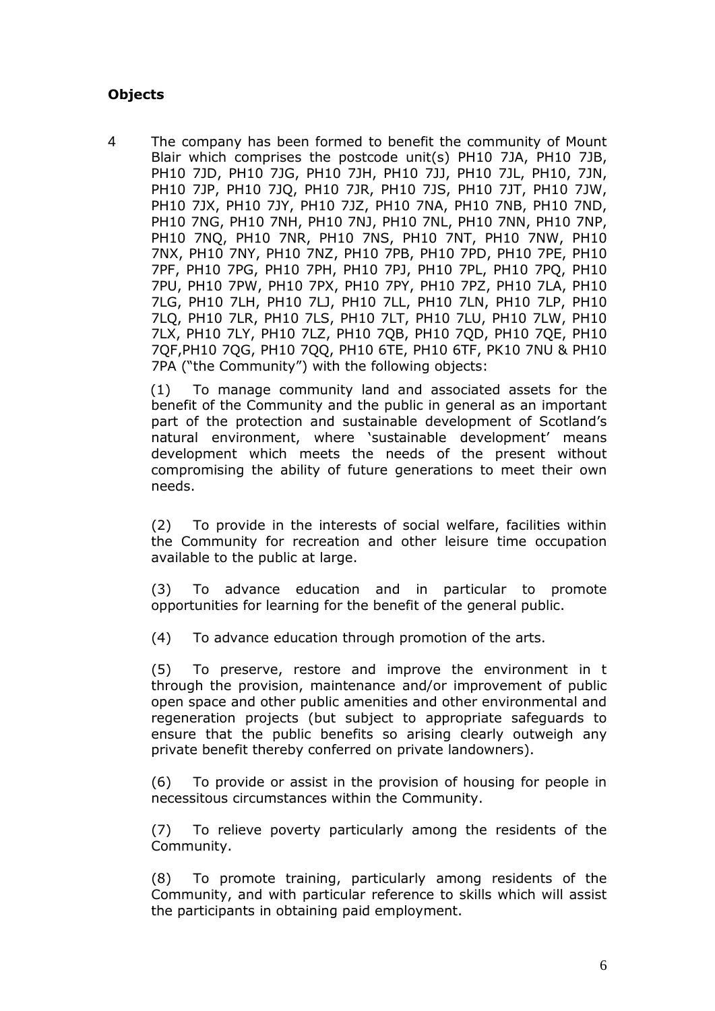# **Objects**

4 The company has been formed to benefit the community of Mount Blair which comprises the postcode unit(s) PH10 7JA, PH10 7JB, PH10 7JD, PH10 7JG, PH10 7JH, PH10 7JJ, PH10 7JL, PH10, 7JN, PH10 7JP, PH10 7JQ, PH10 7JR, PH10 7JS, PH10 7JT, PH10 7JW, PH10 7JX, PH10 7JY, PH10 7JZ, PH10 7NA, PH10 7NB, PH10 7ND, PH10 7NG, PH10 7NH, PH10 7NJ, PH10 7NL, PH10 7NN, PH10 7NP, PH10 7NQ, PH10 7NR, PH10 7NS, PH10 7NT, PH10 7NW, PH10 7NX, PH10 7NY, PH10 7NZ, PH10 7PB, PH10 7PD, PH10 7PE, PH10 7PF, PH10 7PG, PH10 7PH, PH10 7PJ, PH10 7PL, PH10 7PQ, PH10 7PU, PH10 7PW, PH10 7PX, PH10 7PY, PH10 7PZ, PH10 7LA, PH10 7LG, PH10 7LH, PH10 7LJ, PH10 7LL, PH10 7LN, PH10 7LP, PH10 7LQ, PH10 7LR, PH10 7LS, PH10 7LT, PH10 7LU, PH10 7LW, PH10 7LX, PH10 7LY, PH10 7LZ, PH10 7QB, PH10 7QD, PH10 7QE, PH10 7QF,PH10 7QG, PH10 7QQ, PH10 6TE, PH10 6TF, PK10 7NU & PH10 7PA ("the Community") with the following objects:

(1) To manage community land and associated assets for the benefit of the Community and the public in general as an important part of the protection and sustainable development of Scotland's natural environment, where 'sustainable development' means development which meets the needs of the present without compromising the ability of future generations to meet their own needs.

(2) To provide in the interests of social welfare, facilities within the Community for recreation and other leisure time occupation available to the public at large.

(3) To advance education and in particular to promote opportunities for learning for the benefit of the general public.

(4) To advance education through promotion of the arts.

(5) To preserve, restore and improve the environment in t through the provision, maintenance and/or improvement of public open space and other public amenities and other environmental and regeneration projects (but subject to appropriate safeguards to ensure that the public benefits so arising clearly outweigh any private benefit thereby conferred on private landowners).

(6) To provide or assist in the provision of housing for people in necessitous circumstances within the Community.

(7) To relieve poverty particularly among the residents of the Community.

(8) To promote training, particularly among residents of the Community, and with particular reference to skills which will assist the participants in obtaining paid employment.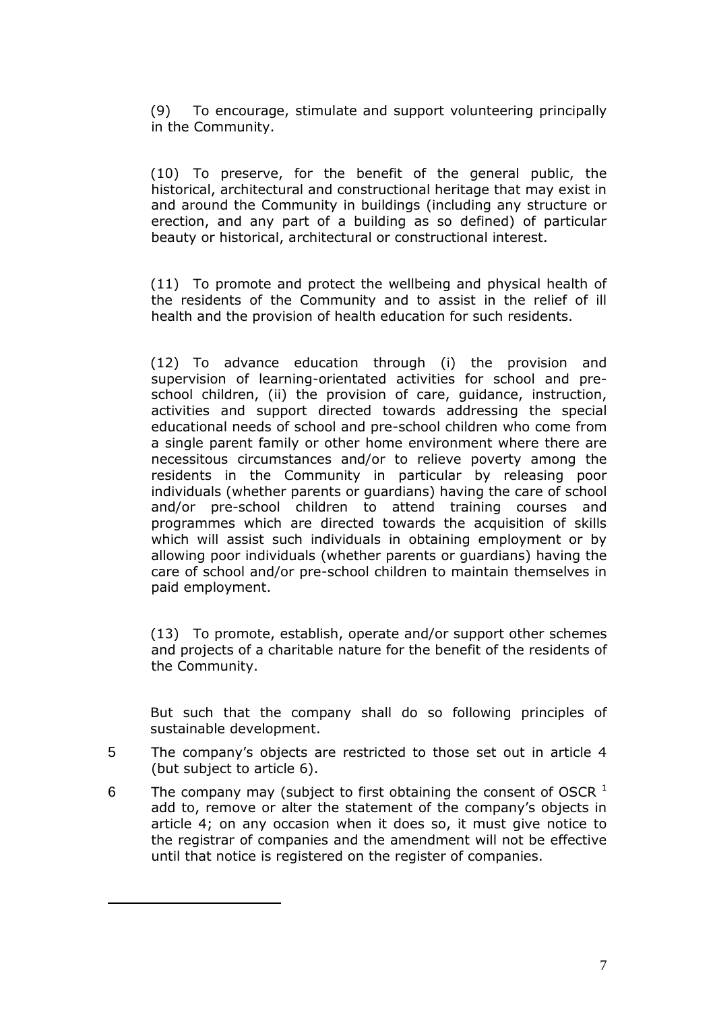(9) To encourage, stimulate and support volunteering principally in the Community.

(10) To preserve, for the benefit of the general public, the historical, architectural and constructional heritage that may exist in and around the Community in buildings (including any structure or erection, and any part of a building as so defined) of particular beauty or historical, architectural or constructional interest.

(11) To promote and protect the wellbeing and physical health of the residents of the Community and to assist in the relief of ill health and the provision of health education for such residents.

(12) To advance education through (i) the provision and supervision of learning-orientated activities for school and preschool children, (ii) the provision of care, guidance, instruction, activities and support directed towards addressing the special educational needs of school and pre-school children who come from a single parent family or other home environment where there are necessitous circumstances and/or to relieve poverty among the residents in the Community in particular by releasing poor individuals (whether parents or guardians) having the care of school and/or pre-school children to attend training courses and programmes which are directed towards the acquisition of skills which will assist such individuals in obtaining employment or by allowing poor individuals (whether parents or guardians) having the care of school and/or pre-school children to maintain themselves in paid employment.

(13) To promote, establish, operate and/or support other schemes and projects of a charitable nature for the benefit of the residents of the Community.

But such that the company shall do so following principles of sustainable development.

- 5 The company's objects are restricted to those set out in article 4 (but subject to article 6).
- 6 The company may (subject to first obtaining the consent of OSCR  $<sup>1</sup>$ </sup> add to, remove or alter the statement of the company's objects in article 4; on any occasion when it does so, it must give notice to the registrar of companies and the amendment will not be effective until that notice is registered on the register of companies.

 $\overline{a}$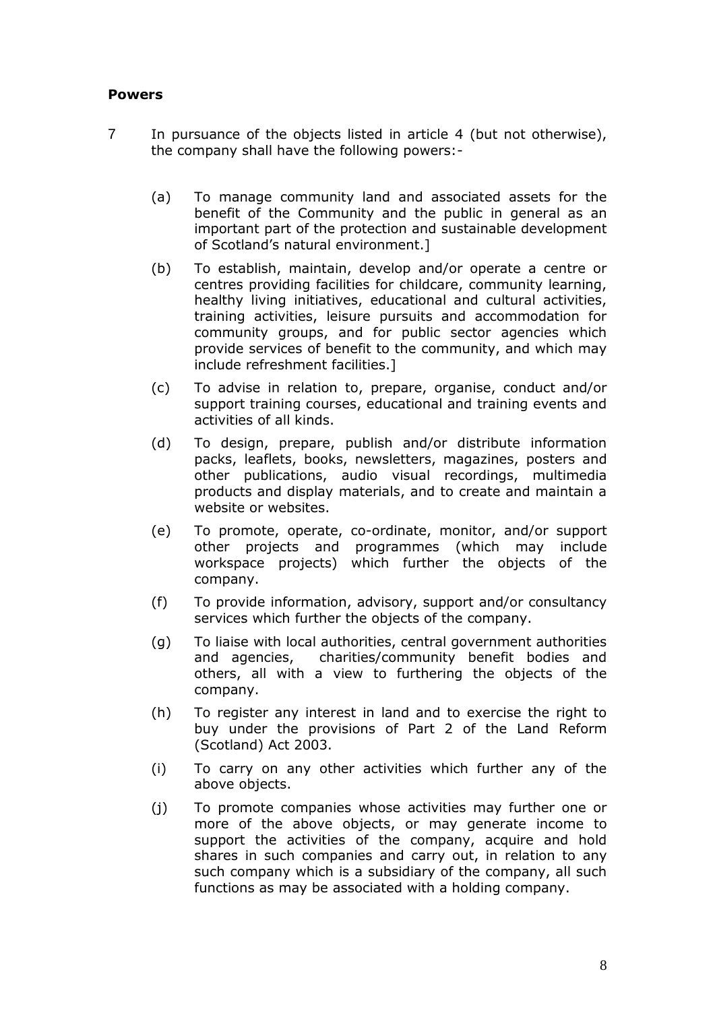#### **Powers**

- 7 In pursuance of the objects listed in article 4 (but not otherwise), the company shall have the following powers:-
	- (a) To manage community land and associated assets for the benefit of the Community and the public in general as an important part of the protection and sustainable development of Scotland's natural environment.]
	- (b) To establish, maintain, develop and/or operate a centre or centres providing facilities for childcare, community learning, healthy living initiatives, educational and cultural activities, training activities, leisure pursuits and accommodation for community groups, and for public sector agencies which provide services of benefit to the community, and which may include refreshment facilities.]
	- (c) To advise in relation to, prepare, organise, conduct and/or support training courses, educational and training events and activities of all kinds.
	- (d) To design, prepare, publish and/or distribute information packs, leaflets, books, newsletters, magazines, posters and other publications, audio visual recordings, multimedia products and display materials, and to create and maintain a website or websites.
	- (e) To promote, operate, co-ordinate, monitor, and/or support other projects and programmes (which may include workspace projects) which further the objects of the company.
	- (f) To provide information, advisory, support and/or consultancy services which further the objects of the company.
	- (g) To liaise with local authorities, central government authorities and agencies, charities/community benefit bodies and others, all with a view to furthering the objects of the company.
	- (h) To register any interest in land and to exercise the right to buy under the provisions of Part 2 of the Land Reform (Scotland) Act 2003.
	- (i) To carry on any other activities which further any of the above objects.
	- (j) To promote companies whose activities may further one or more of the above objects, or may generate income to support the activities of the company, acquire and hold shares in such companies and carry out, in relation to any such company which is a subsidiary of the company, all such functions as may be associated with a holding company.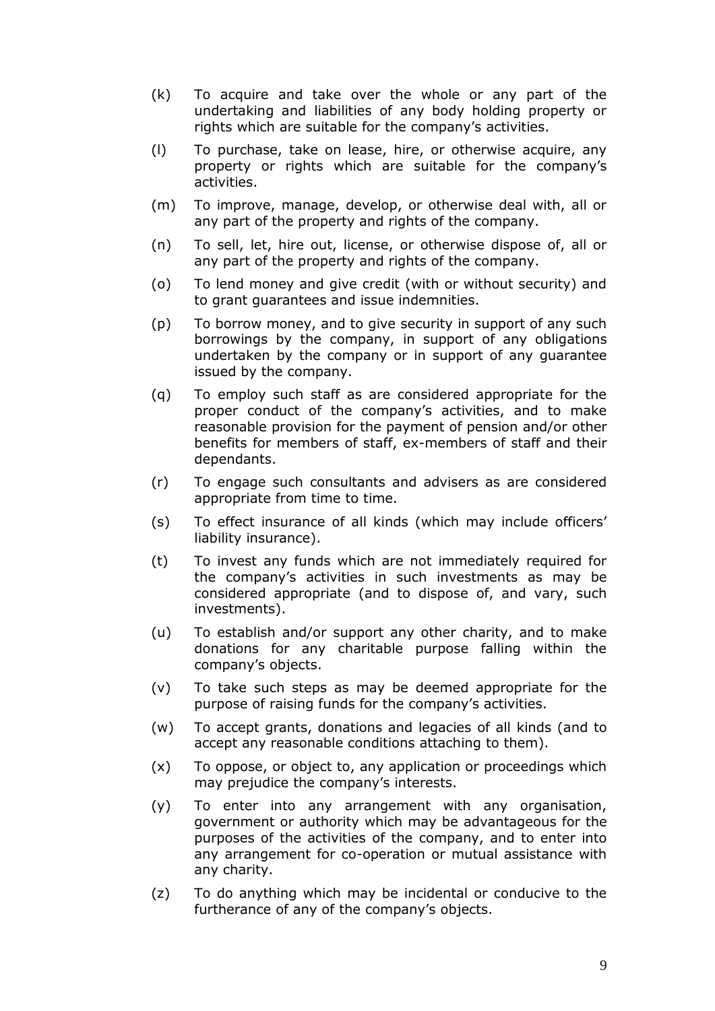- (k) To acquire and take over the whole or any part of the undertaking and liabilities of any body holding property or rights which are suitable for the company's activities.
- (l) To purchase, take on lease, hire, or otherwise acquire, any property or rights which are suitable for the company's activities.
- (m) To improve, manage, develop, or otherwise deal with, all or any part of the property and rights of the company.
- (n) To sell, let, hire out, license, or otherwise dispose of, all or any part of the property and rights of the company.
- (o) To lend money and give credit (with or without security) and to grant guarantees and issue indemnities.
- (p) To borrow money, and to give security in support of any such borrowings by the company, in support of any obligations undertaken by the company or in support of any guarantee issued by the company.
- (q) To employ such staff as are considered appropriate for the proper conduct of the company's activities, and to make reasonable provision for the payment of pension and/or other benefits for members of staff, ex-members of staff and their dependants.
- (r) To engage such consultants and advisers as are considered appropriate from time to time.
- (s) To effect insurance of all kinds (which may include officers' liability insurance).
- (t) To invest any funds which are not immediately required for the company's activities in such investments as may be considered appropriate (and to dispose of, and vary, such investments).
- (u) To establish and/or support any other charity, and to make donations for any charitable purpose falling within the company's objects.
- (v) To take such steps as may be deemed appropriate for the purpose of raising funds for the company's activities.
- (w) To accept grants, donations and legacies of all kinds (and to accept any reasonable conditions attaching to them).
- (x) To oppose, or object to, any application or proceedings which may prejudice the company's interests.
- (y) To enter into any arrangement with any organisation, government or authority which may be advantageous for the purposes of the activities of the company, and to enter into any arrangement for co-operation or mutual assistance with any charity.
- (z) To do anything which may be incidental or conducive to the furtherance of any of the company's objects.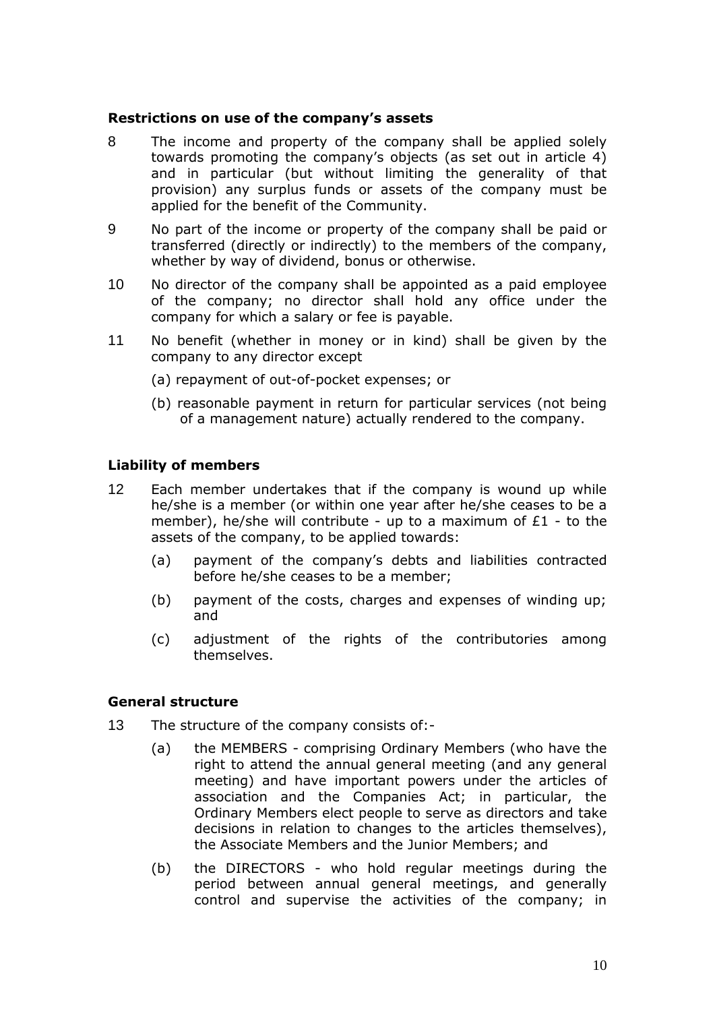## **Restrictions on use of the company's assets**

- 8 The income and property of the company shall be applied solely towards promoting the company's objects (as set out in article 4) and in particular (but without limiting the generality of that provision) any surplus funds or assets of the company must be applied for the benefit of the Community.
- 9 No part of the income or property of the company shall be paid or transferred (directly or indirectly) to the members of the company, whether by way of dividend, bonus or otherwise.
- 10 No director of the company shall be appointed as a paid employee of the company; no director shall hold any office under the company for which a salary or fee is payable.
- 11 No benefit (whether in money or in kind) shall be given by the company to any director except
	- (a) repayment of out-of-pocket expenses; or
	- (b) reasonable payment in return for particular services (not being of a management nature) actually rendered to the company.

#### **Liability of members**

- 12 Each member undertakes that if the company is wound up while he/she is a member (or within one year after he/she ceases to be a member), he/she will contribute - up to a maximum of  $£1 -$  to the assets of the company, to be applied towards:
	- (a) payment of the company's debts and liabilities contracted before he/she ceases to be a member;
	- (b) payment of the costs, charges and expenses of winding up; and
	- (c) adjustment of the rights of the contributories among themselves.

#### **General structure**

- 13 The structure of the company consists of:-
	- (a) the MEMBERS comprising Ordinary Members (who have the right to attend the annual general meeting (and any general meeting) and have important powers under the articles of association and the Companies Act; in particular, the Ordinary Members elect people to serve as directors and take decisions in relation to changes to the articles themselves), the Associate Members and the Junior Members; and
	- (b) the DIRECTORS who hold regular meetings during the period between annual general meetings, and generally control and supervise the activities of the company; in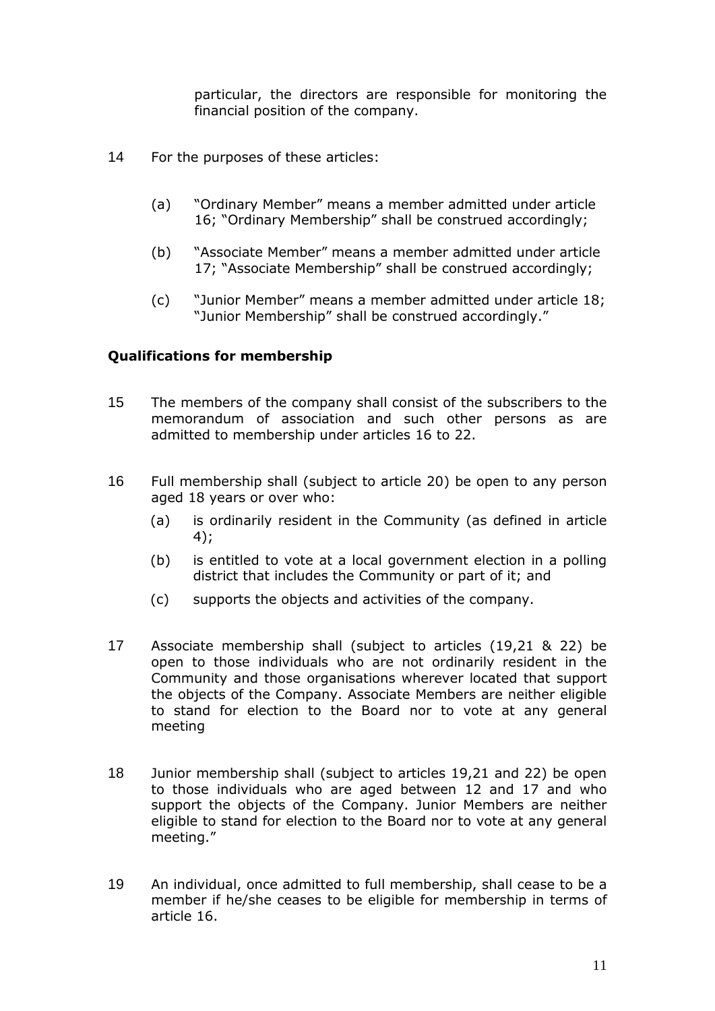particular, the directors are responsible for monitoring the financial position of the company.

- 14 For the purposes of these articles:
	- (a) "Ordinary Member" means a member admitted under article 16; "Ordinary Membership" shall be construed accordingly;
	- (b) "Associate Member" means a member admitted under article 17; "Associate Membership" shall be construed accordingly;
	- (c) "Junior Member" means a member admitted under article 18; "Junior Membership" shall be construed accordingly."

## **Qualifications for membership**

- 15 The members of the company shall consist of the subscribers to the memorandum of association and such other persons as are admitted to membership under articles 16 to 22.
- 16 Full membership shall (subject to article 20) be open to any person aged 18 years or over who:
	- (a) is ordinarily resident in the Community (as defined in article 4);
	- (b) is entitled to vote at a local government election in a polling district that includes the Community or part of it; and
	- (c) supports the objects and activities of the company.
- 17 Associate membership shall (subject to articles (19,21 & 22) be open to those individuals who are not ordinarily resident in the Community and those organisations wherever located that support the objects of the Company. Associate Members are neither eligible to stand for election to the Board nor to vote at any general meeting
- 18 Junior membership shall (subject to articles 19,21 and 22) be open to those individuals who are aged between 12 and 17 and who support the objects of the Company. Junior Members are neither eligible to stand for election to the Board nor to vote at any general meeting."
- 19 An individual, once admitted to full membership, shall cease to be a member if he/she ceases to be eligible for membership in terms of article 16.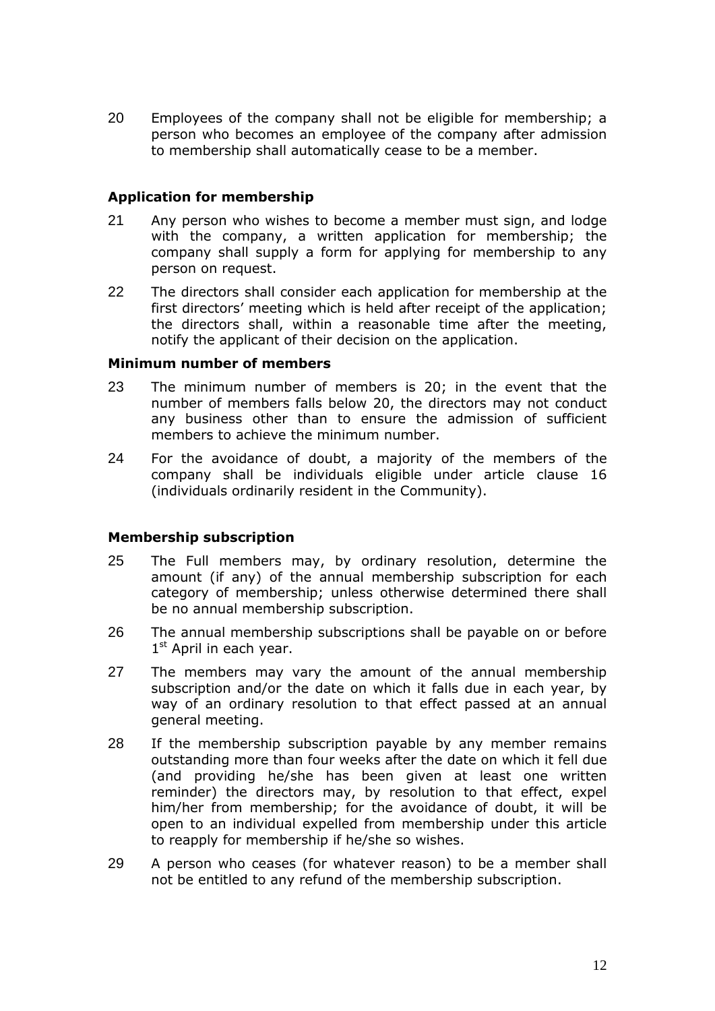20 Employees of the company shall not be eligible for membership; a person who becomes an employee of the company after admission to membership shall automatically cease to be a member.

#### **Application for membership**

- 21 Any person who wishes to become a member must sign, and lodge with the company, a written application for membership; the company shall supply a form for applying for membership to any person on request.
- 22 The directors shall consider each application for membership at the first directors' meeting which is held after receipt of the application; the directors shall, within a reasonable time after the meeting, notify the applicant of their decision on the application.

#### **Minimum number of members**

- 23 The minimum number of members is 20; in the event that the number of members falls below 20, the directors may not conduct any business other than to ensure the admission of sufficient members to achieve the minimum number.
- 24 For the avoidance of doubt, a majority of the members of the company shall be individuals eligible under article clause 16 (individuals ordinarily resident in the Community).

## **Membership subscription**

- 25 The Full members may, by ordinary resolution, determine the amount (if any) of the annual membership subscription for each category of membership; unless otherwise determined there shall be no annual membership subscription.
- 26 The annual membership subscriptions shall be payable on or before 1st April in each year.
- 27 The members may vary the amount of the annual membership subscription and/or the date on which it falls due in each year, by way of an ordinary resolution to that effect passed at an annual general meeting.
- 28 If the membership subscription payable by any member remains outstanding more than four weeks after the date on which it fell due (and providing he/she has been given at least one written reminder) the directors may, by resolution to that effect, expel him/her from membership; for the avoidance of doubt, it will be open to an individual expelled from membership under this article to reapply for membership if he/she so wishes.
- 29 A person who ceases (for whatever reason) to be a member shall not be entitled to any refund of the membership subscription.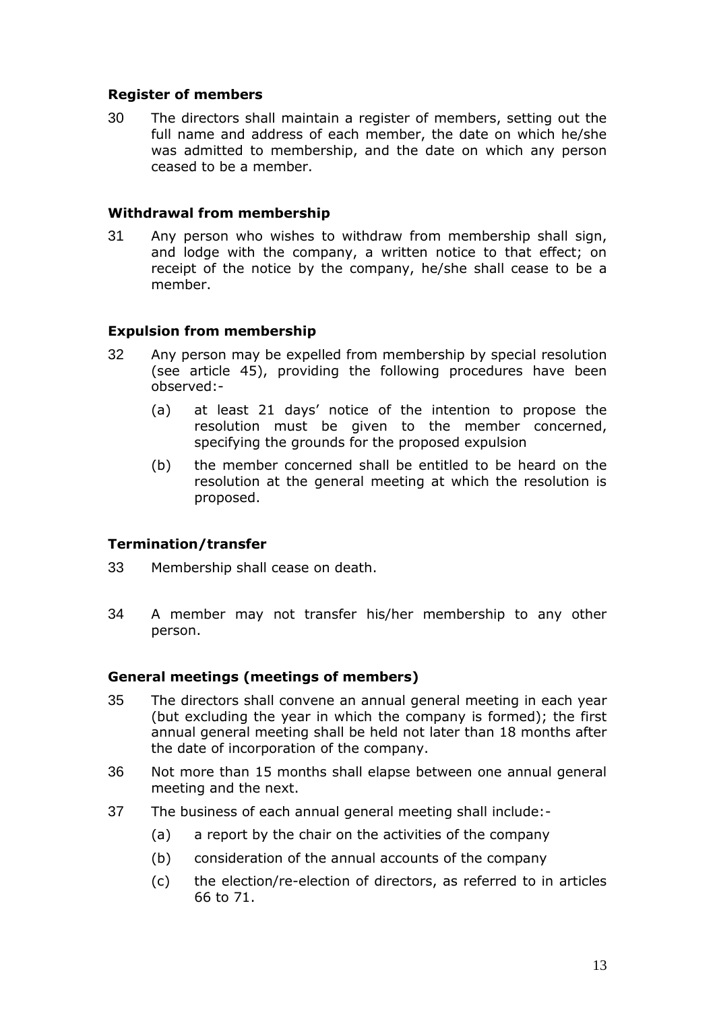## **Register of members**

30 The directors shall maintain a register of members, setting out the full name and address of each member, the date on which he/she was admitted to membership, and the date on which any person ceased to be a member.

#### **Withdrawal from membership**

31 Any person who wishes to withdraw from membership shall sign, and lodge with the company, a written notice to that effect; on receipt of the notice by the company, he/she shall cease to be a member.

#### **Expulsion from membership**

- 32 Any person may be expelled from membership by special resolution (see article 45), providing the following procedures have been observed:-
	- (a) at least 21 days' notice of the intention to propose the resolution must be given to the member concerned, specifying the grounds for the proposed expulsion
	- (b) the member concerned shall be entitled to be heard on the resolution at the general meeting at which the resolution is proposed.

## **Termination/transfer**

- 33 Membership shall cease on death.
- 34 A member may not transfer his/her membership to any other person.

#### **General meetings (meetings of members)**

- 35 The directors shall convene an annual general meeting in each year (but excluding the year in which the company is formed); the first annual general meeting shall be held not later than 18 months after the date of incorporation of the company.
- 36 Not more than 15 months shall elapse between one annual general meeting and the next.
- 37 The business of each annual general meeting shall include:-
	- (a) a report by the chair on the activities of the company
	- (b) consideration of the annual accounts of the company
	- (c) the election/re-election of directors, as referred to in articles 66 to 71.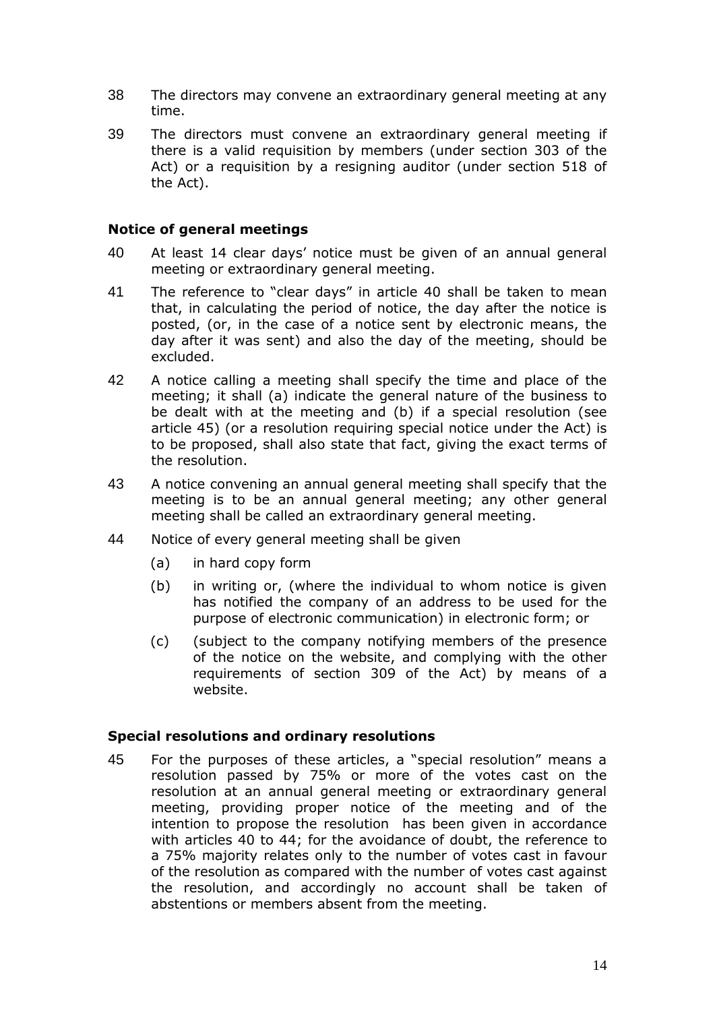- 38 The directors may convene an extraordinary general meeting at any time.
- 39 The directors must convene an extraordinary general meeting if there is a valid requisition by members (under section 303 of the Act) or a requisition by a resigning auditor (under section 518 of the Act).

#### **Notice of general meetings**

- 40 At least 14 clear days' notice must be given of an annual general meeting or extraordinary general meeting.
- 41 The reference to "clear days" in article 40 shall be taken to mean that, in calculating the period of notice, the day after the notice is posted, (or, in the case of a notice sent by electronic means, the day after it was sent) and also the day of the meeting, should be excluded.
- 42 A notice calling a meeting shall specify the time and place of the meeting; it shall (a) indicate the general nature of the business to be dealt with at the meeting and (b) if a special resolution (see article 45) (or a resolution requiring special notice under the Act) is to be proposed, shall also state that fact, giving the exact terms of the resolution.
- 43 A notice convening an annual general meeting shall specify that the meeting is to be an annual general meeting; any other general meeting shall be called an extraordinary general meeting.
- 44 Notice of every general meeting shall be given
	- (a) in hard copy form
	- (b) in writing or, (where the individual to whom notice is given has notified the company of an address to be used for the purpose of electronic communication) in electronic form; or
	- (c) (subject to the company notifying members of the presence of the notice on the website, and complying with the other requirements of section 309 of the Act) by means of a website.

#### **Special resolutions and ordinary resolutions**

45 For the purposes of these articles, a "special resolution" means a resolution passed by 75% or more of the votes cast on the resolution at an annual general meeting or extraordinary general meeting, providing proper notice of the meeting and of the intention to propose the resolution has been given in accordance with articles 40 to 44; for the avoidance of doubt, the reference to a 75% majority relates only to the number of votes cast in favour of the resolution as compared with the number of votes cast against the resolution, and accordingly no account shall be taken of abstentions or members absent from the meeting.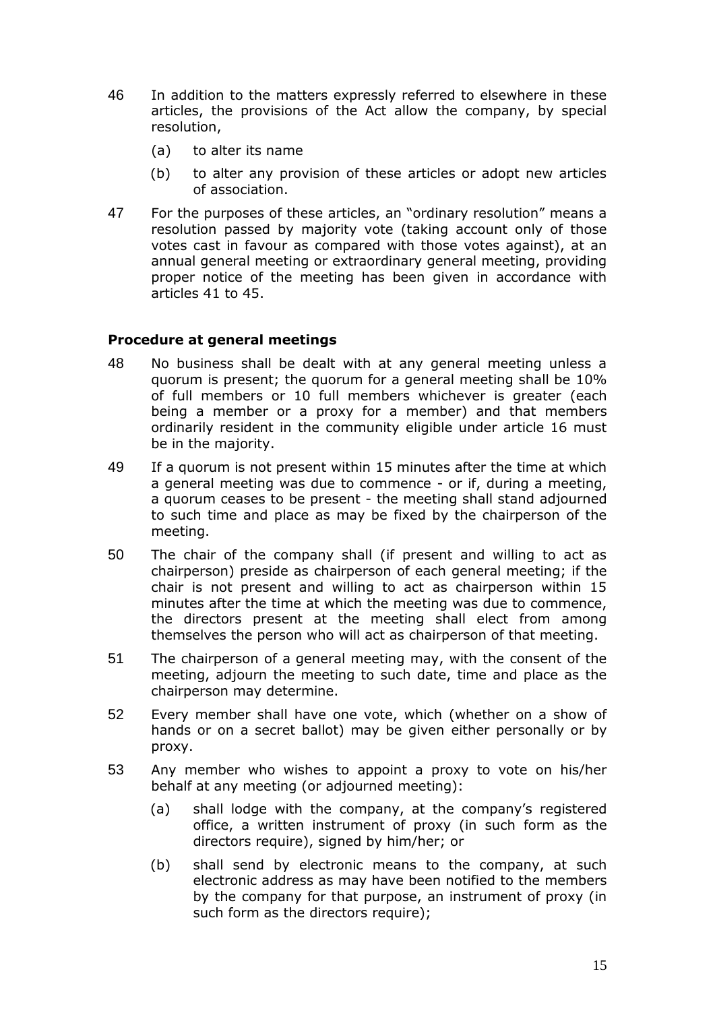- 46 In addition to the matters expressly referred to elsewhere in these articles, the provisions of the Act allow the company, by special resolution,
	- (a) to alter its name
	- (b) to alter any provision of these articles or adopt new articles of association.
- 47 For the purposes of these articles, an "ordinary resolution" means a resolution passed by majority vote (taking account only of those votes cast in favour as compared with those votes against), at an annual general meeting or extraordinary general meeting, providing proper notice of the meeting has been given in accordance with articles 41 to 45.

#### **Procedure at general meetings**

- 48 No business shall be dealt with at any general meeting unless a quorum is present; the quorum for a general meeting shall be 10% of full members or 10 full members whichever is greater (each being a member or a proxy for a member) and that members ordinarily resident in the community eligible under article 16 must be in the majority.
- 49 If a quorum is not present within 15 minutes after the time at which a general meeting was due to commence - or if, during a meeting, a quorum ceases to be present - the meeting shall stand adjourned to such time and place as may be fixed by the chairperson of the meeting.
- 50 The chair of the company shall (if present and willing to act as chairperson) preside as chairperson of each general meeting; if the chair is not present and willing to act as chairperson within 15 minutes after the time at which the meeting was due to commence, the directors present at the meeting shall elect from among themselves the person who will act as chairperson of that meeting.
- 51 The chairperson of a general meeting may, with the consent of the meeting, adjourn the meeting to such date, time and place as the chairperson may determine.
- 52 Every member shall have one vote, which (whether on a show of hands or on a secret ballot) may be given either personally or by proxy.
- 53 Any member who wishes to appoint a proxy to vote on his/her behalf at any meeting (or adjourned meeting):
	- (a) shall lodge with the company, at the company's registered office, a written instrument of proxy (in such form as the directors require), signed by him/her; or
	- (b) shall send by electronic means to the company, at such electronic address as may have been notified to the members by the company for that purpose, an instrument of proxy (in such form as the directors require);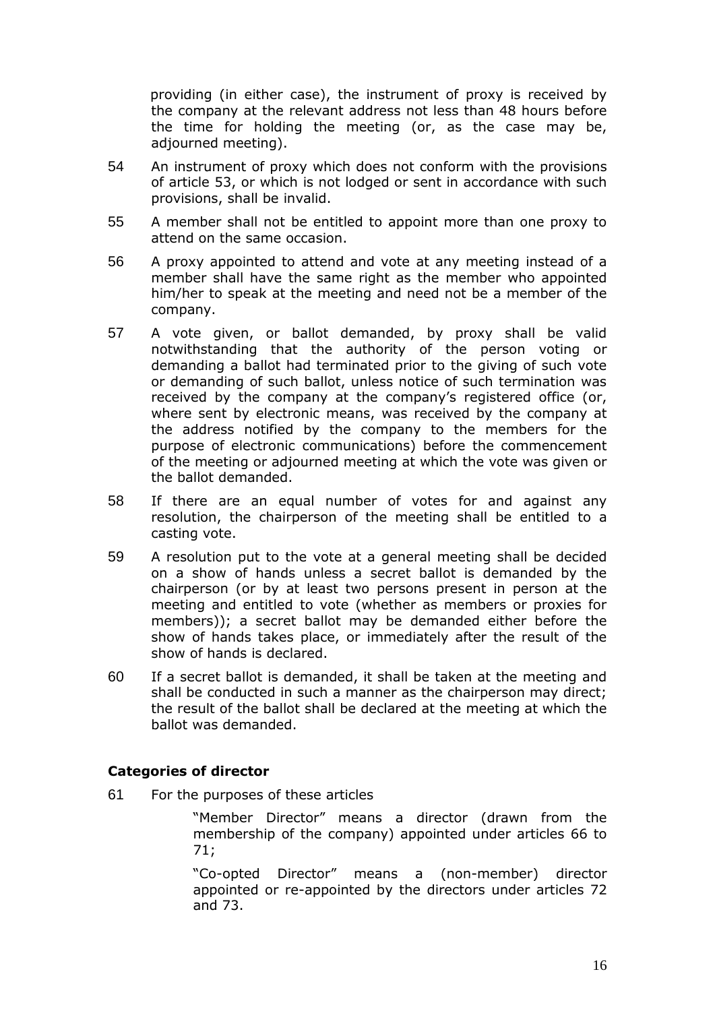providing (in either case), the instrument of proxy is received by the company at the relevant address not less than 48 hours before the time for holding the meeting (or, as the case may be, adjourned meeting).

- 54 An instrument of proxy which does not conform with the provisions of article 53, or which is not lodged or sent in accordance with such provisions, shall be invalid.
- 55 A member shall not be entitled to appoint more than one proxy to attend on the same occasion.
- 56 A proxy appointed to attend and vote at any meeting instead of a member shall have the same right as the member who appointed him/her to speak at the meeting and need not be a member of the company.
- 57 A vote given, or ballot demanded, by proxy shall be valid notwithstanding that the authority of the person voting or demanding a ballot had terminated prior to the giving of such vote or demanding of such ballot, unless notice of such termination was received by the company at the company's registered office (or, where sent by electronic means, was received by the company at the address notified by the company to the members for the purpose of electronic communications) before the commencement of the meeting or adjourned meeting at which the vote was given or the ballot demanded.
- 58 If there are an equal number of votes for and against any resolution, the chairperson of the meeting shall be entitled to a casting vote.
- 59 A resolution put to the vote at a general meeting shall be decided on a show of hands unless a secret ballot is demanded by the chairperson (or by at least two persons present in person at the meeting and entitled to vote (whether as members or proxies for members)); a secret ballot may be demanded either before the show of hands takes place, or immediately after the result of the show of hands is declared.
- 60 If a secret ballot is demanded, it shall be taken at the meeting and shall be conducted in such a manner as the chairperson may direct; the result of the ballot shall be declared at the meeting at which the ballot was demanded.

## **Categories of director**

61 For the purposes of these articles

"Member Director" means a director (drawn from the membership of the company) appointed under articles 66 to 71;

"Co-opted Director" means a (non-member) director appointed or re-appointed by the directors under articles 72 and 73.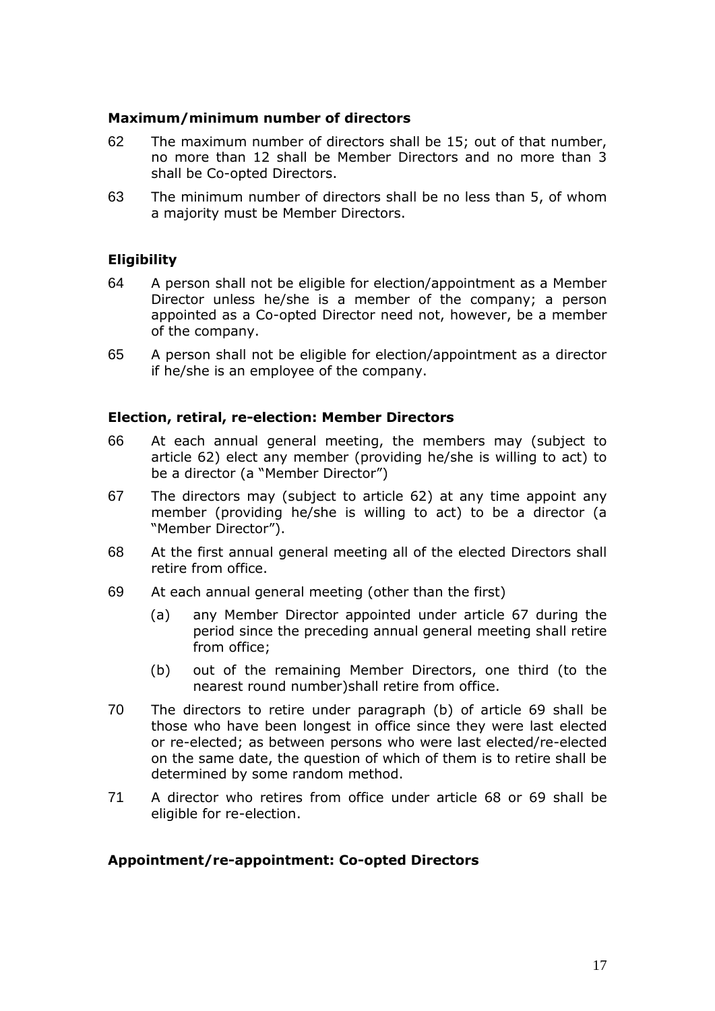#### **Maximum/minimum number of directors**

- 62 The maximum number of directors shall be 15; out of that number, no more than 12 shall be Member Directors and no more than 3 shall be Co-opted Directors.
- 63 The minimum number of directors shall be no less than 5, of whom a majority must be Member Directors.

## **Eligibility**

- 64 A person shall not be eligible for election/appointment as a Member Director unless he/she is a member of the company; a person appointed as a Co-opted Director need not, however, be a member of the company.
- 65 A person shall not be eligible for election/appointment as a director if he/she is an employee of the company.

#### **Election, retiral, re-election: Member Directors**

- 66 At each annual general meeting, the members may (subject to article 62) elect any member (providing he/she is willing to act) to be a director (a "Member Director")
- 67 The directors may (subject to article 62) at any time appoint any member (providing he/she is willing to act) to be a director (a "Member Director").
- 68 At the first annual general meeting all of the elected Directors shall retire from office.
- 69 At each annual general meeting (other than the first)
	- (a) any Member Director appointed under article 67 during the period since the preceding annual general meeting shall retire from office;
	- (b) out of the remaining Member Directors, one third (to the nearest round number)shall retire from office.
- 70 The directors to retire under paragraph (b) of article 69 shall be those who have been longest in office since they were last elected or re-elected; as between persons who were last elected/re-elected on the same date, the question of which of them is to retire shall be determined by some random method.
- 71 A director who retires from office under article 68 or 69 shall be eligible for re-election.

#### **Appointment/re-appointment: Co-opted Directors**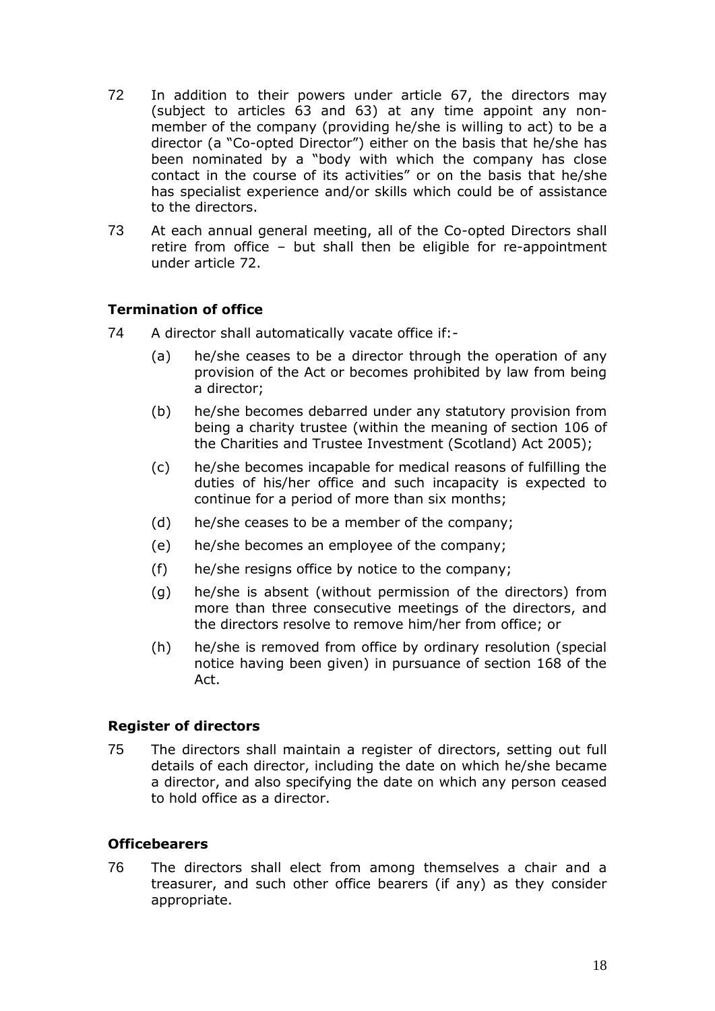- 72 In addition to their powers under article 67, the directors may (subject to articles 63 and 63) at any time appoint any nonmember of the company (providing he/she is willing to act) to be a director (a "Co-opted Director") either on the basis that he/she has been nominated by a "body with which the company has close contact in the course of its activities" or on the basis that he/she has specialist experience and/or skills which could be of assistance to the directors.
- 73 At each annual general meeting, all of the Co-opted Directors shall retire from office – but shall then be eligible for re-appointment under article 72.

# **Termination of office**

- 74 A director shall automatically vacate office if:-
	- (a) he/she ceases to be a director through the operation of any provision of the Act or becomes prohibited by law from being a director;
	- (b) he/she becomes debarred under any statutory provision from being a charity trustee (within the meaning of section 106 of the Charities and Trustee Investment (Scotland) Act 2005);
	- (c) he/she becomes incapable for medical reasons of fulfilling the duties of his/her office and such incapacity is expected to continue for a period of more than six months;
	- (d) he/she ceases to be a member of the company;
	- (e) he/she becomes an employee of the company;
	- (f) he/she resigns office by notice to the company;
	- (g) he/she is absent (without permission of the directors) from more than three consecutive meetings of the directors, and the directors resolve to remove him/her from office; or
	- (h) he/she is removed from office by ordinary resolution (special notice having been given) in pursuance of section 168 of the Act.

## **Register of directors**

75 The directors shall maintain a register of directors, setting out full details of each director, including the date on which he/she became a director, and also specifying the date on which any person ceased to hold office as a director.

## **Officebearers**

76 The directors shall elect from among themselves a chair and a treasurer, and such other office bearers (if any) as they consider appropriate.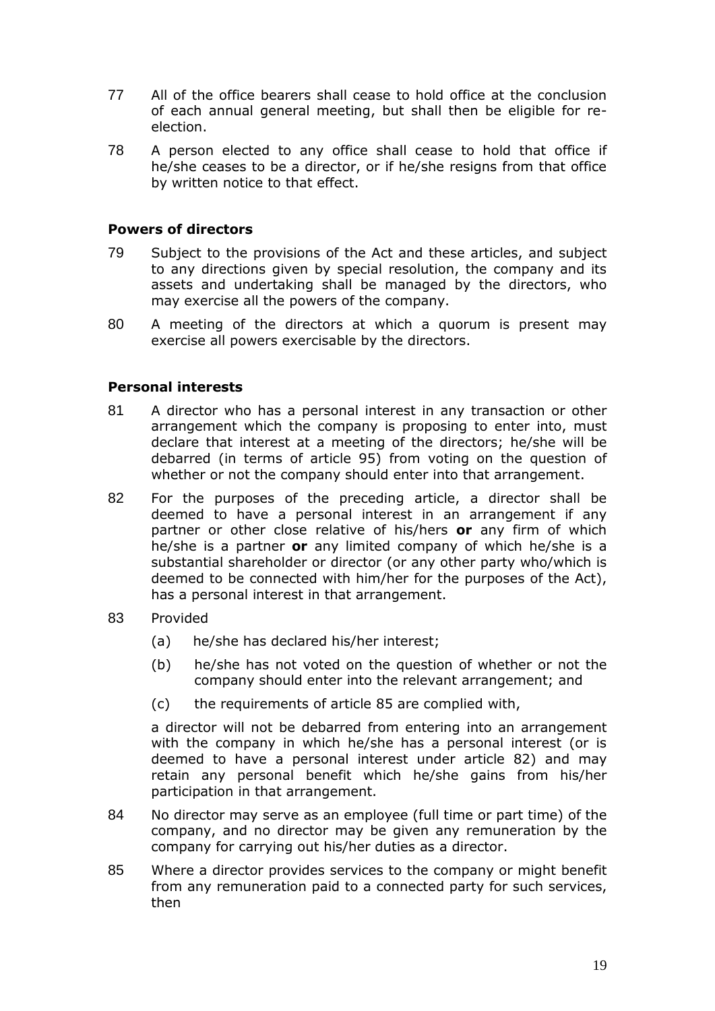- 77 All of the office bearers shall cease to hold office at the conclusion of each annual general meeting, but shall then be eligible for reelection.
- 78 A person elected to any office shall cease to hold that office if he/she ceases to be a director, or if he/she resigns from that office by written notice to that effect.

#### **Powers of directors**

- 79 Subject to the provisions of the Act and these articles, and subject to any directions given by special resolution, the company and its assets and undertaking shall be managed by the directors, who may exercise all the powers of the company.
- 80 A meeting of the directors at which a quorum is present may exercise all powers exercisable by the directors.

#### **Personal interests**

- 81 A director who has a personal interest in any transaction or other arrangement which the company is proposing to enter into, must declare that interest at a meeting of the directors; he/she will be debarred (in terms of article 95) from voting on the question of whether or not the company should enter into that arrangement.
- 82 For the purposes of the preceding article, a director shall be deemed to have a personal interest in an arrangement if any partner or other close relative of his/hers **or** any firm of which he/she is a partner **or** any limited company of which he/she is a substantial shareholder or director (or any other party who/which is deemed to be connected with him/her for the purposes of the Act), has a personal interest in that arrangement.
- 83 Provided
	- (a) he/she has declared his/her interest;
	- (b) he/she has not voted on the question of whether or not the company should enter into the relevant arrangement; and
	- (c) the requirements of article 85 are complied with,

a director will not be debarred from entering into an arrangement with the company in which he/she has a personal interest (or is deemed to have a personal interest under article 82) and may retain any personal benefit which he/she gains from his/her participation in that arrangement.

- 84 No director may serve as an employee (full time or part time) of the company, and no director may be given any remuneration by the company for carrying out his/her duties as a director.
- 85 Where a director provides services to the company or might benefit from any remuneration paid to a connected party for such services, then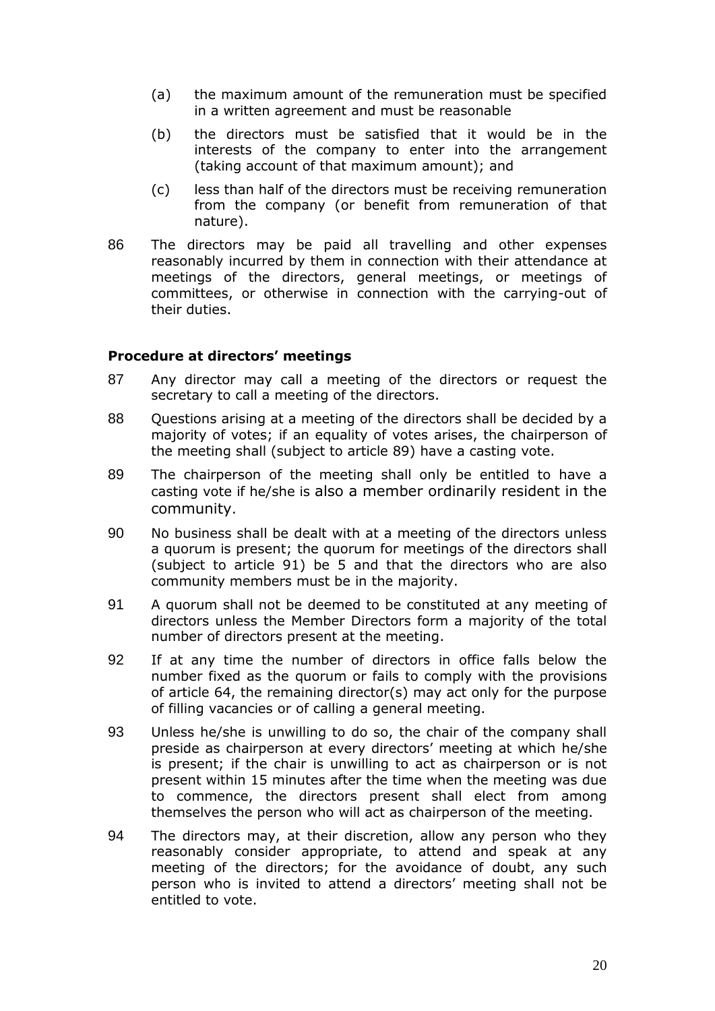- (a) the maximum amount of the remuneration must be specified in a written agreement and must be reasonable
- (b) the directors must be satisfied that it would be in the interests of the company to enter into the arrangement (taking account of that maximum amount); and
- (c) less than half of the directors must be receiving remuneration from the company (or benefit from remuneration of that nature).
- 86 The directors may be paid all travelling and other expenses reasonably incurred by them in connection with their attendance at meetings of the directors, general meetings, or meetings of committees, or otherwise in connection with the carrying-out of their duties.

#### **Procedure at directors' meetings**

- 87 Any director may call a meeting of the directors or request the secretary to call a meeting of the directors.
- 88 Questions arising at a meeting of the directors shall be decided by a majority of votes; if an equality of votes arises, the chairperson of the meeting shall (subject to article 89) have a casting vote.
- 89 The chairperson of the meeting shall only be entitled to have a casting vote if he/she is also a member ordinarily resident in the community.
- 90 No business shall be dealt with at a meeting of the directors unless a quorum is present; the quorum for meetings of the directors shall (subject to article 91) be 5 and that the directors who are also community members must be in the majority.
- 91 A quorum shall not be deemed to be constituted at any meeting of directors unless the Member Directors form a majority of the total number of directors present at the meeting.
- 92 If at any time the number of directors in office falls below the number fixed as the quorum or fails to comply with the provisions of article 64, the remaining director(s) may act only for the purpose of filling vacancies or of calling a general meeting.
- 93 Unless he/she is unwilling to do so, the chair of the company shall preside as chairperson at every directors' meeting at which he/she is present; if the chair is unwilling to act as chairperson or is not present within 15 minutes after the time when the meeting was due to commence, the directors present shall elect from among themselves the person who will act as chairperson of the meeting.
- 94 The directors may, at their discretion, allow any person who they reasonably consider appropriate, to attend and speak at any meeting of the directors; for the avoidance of doubt, any such person who is invited to attend a directors' meeting shall not be entitled to vote.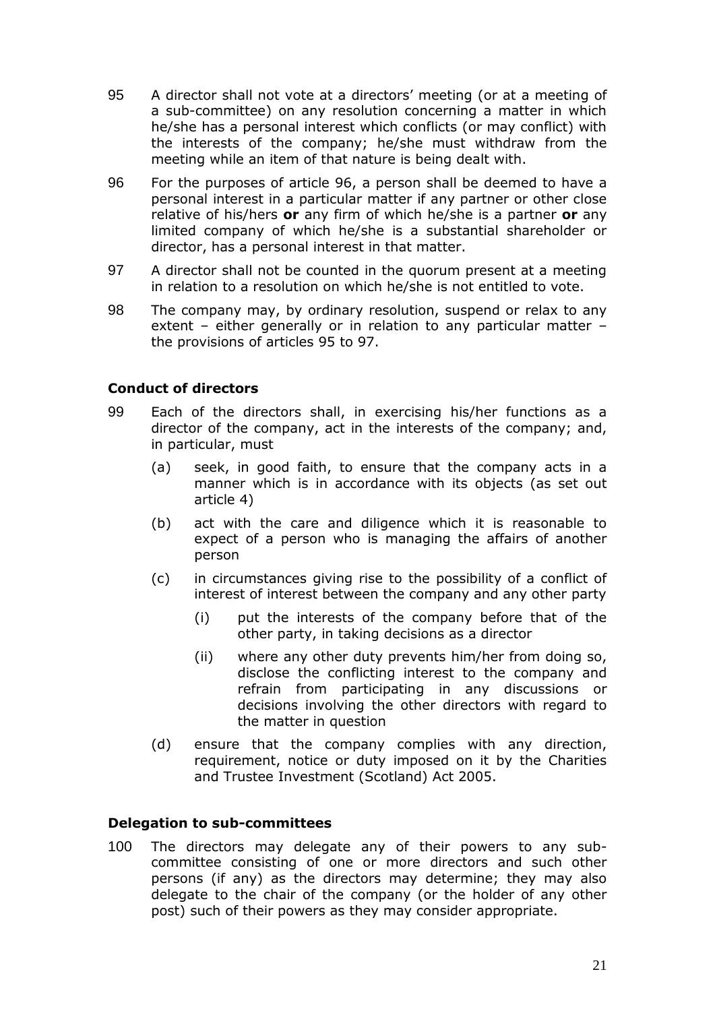- 95 A director shall not vote at a directors' meeting (or at a meeting of a sub-committee) on any resolution concerning a matter in which he/she has a personal interest which conflicts (or may conflict) with the interests of the company; he/she must withdraw from the meeting while an item of that nature is being dealt with.
- 96 For the purposes of article 96, a person shall be deemed to have a personal interest in a particular matter if any partner or other close relative of his/hers **or** any firm of which he/she is a partner **or** any limited company of which he/she is a substantial shareholder or director, has a personal interest in that matter.
- 97 A director shall not be counted in the quorum present at a meeting in relation to a resolution on which he/she is not entitled to vote.
- 98 The company may, by ordinary resolution, suspend or relax to any extent – either generally or in relation to any particular matter – the provisions of articles 95 to 97.

## **Conduct of directors**

- 99 Each of the directors shall, in exercising his/her functions as a director of the company, act in the interests of the company; and, in particular, must
	- (a) seek, in good faith, to ensure that the company acts in a manner which is in accordance with its objects (as set out article 4)
	- (b) act with the care and diligence which it is reasonable to expect of a person who is managing the affairs of another person
	- (c) in circumstances giving rise to the possibility of a conflict of interest of interest between the company and any other party
		- (i) put the interests of the company before that of the other party, in taking decisions as a director
		- (ii) where any other duty prevents him/her from doing so, disclose the conflicting interest to the company and refrain from participating in any discussions or decisions involving the other directors with regard to the matter in question
	- (d) ensure that the company complies with any direction, requirement, notice or duty imposed on it by the Charities and Trustee Investment (Scotland) Act 2005.

#### **Delegation to sub-committees**

100 The directors may delegate any of their powers to any subcommittee consisting of one or more directors and such other persons (if any) as the directors may determine; they may also delegate to the chair of the company (or the holder of any other post) such of their powers as they may consider appropriate.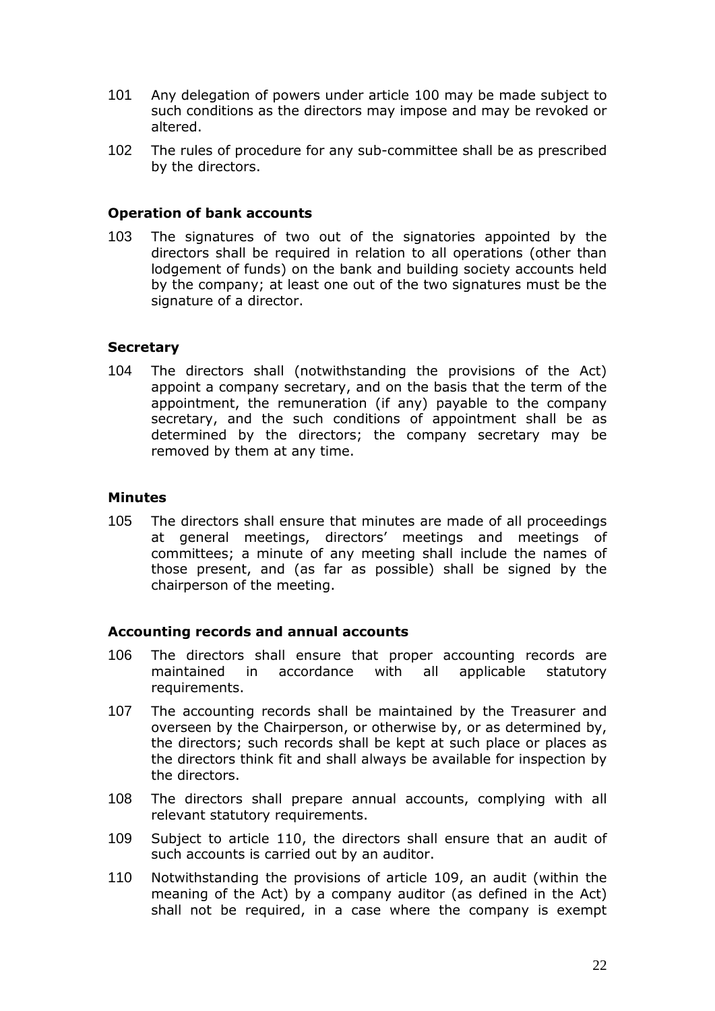- 101 Any delegation of powers under article 100 may be made subject to such conditions as the directors may impose and may be revoked or altered.
- 102 The rules of procedure for any sub-committee shall be as prescribed by the directors.

#### **Operation of bank accounts**

103 The signatures of two out of the signatories appointed by the directors shall be required in relation to all operations (other than lodgement of funds) on the bank and building society accounts held by the company; at least one out of the two signatures must be the signature of a director.

#### **Secretary**

104 The directors shall (notwithstanding the provisions of the Act) appoint a company secretary, and on the basis that the term of the appointment, the remuneration (if any) payable to the company secretary, and the such conditions of appointment shall be as determined by the directors; the company secretary may be removed by them at any time.

#### **Minutes**

105 The directors shall ensure that minutes are made of all proceedings at general meetings, directors' meetings and meetings of committees; a minute of any meeting shall include the names of those present, and (as far as possible) shall be signed by the chairperson of the meeting.

## **Accounting records and annual accounts**

- 106 The directors shall ensure that proper accounting records are maintained in accordance with all applicable statutory requirements.
- 107 The accounting records shall be maintained by the Treasurer and overseen by the Chairperson, or otherwise by, or as determined by, the directors; such records shall be kept at such place or places as the directors think fit and shall always be available for inspection by the directors.
- 108 The directors shall prepare annual accounts, complying with all relevant statutory requirements.
- 109 Subject to article 110, the directors shall ensure that an audit of such accounts is carried out by an auditor.
- 110 Notwithstanding the provisions of article 109, an audit (within the meaning of the Act) by a company auditor (as defined in the Act) shall not be required, in a case where the company is exempt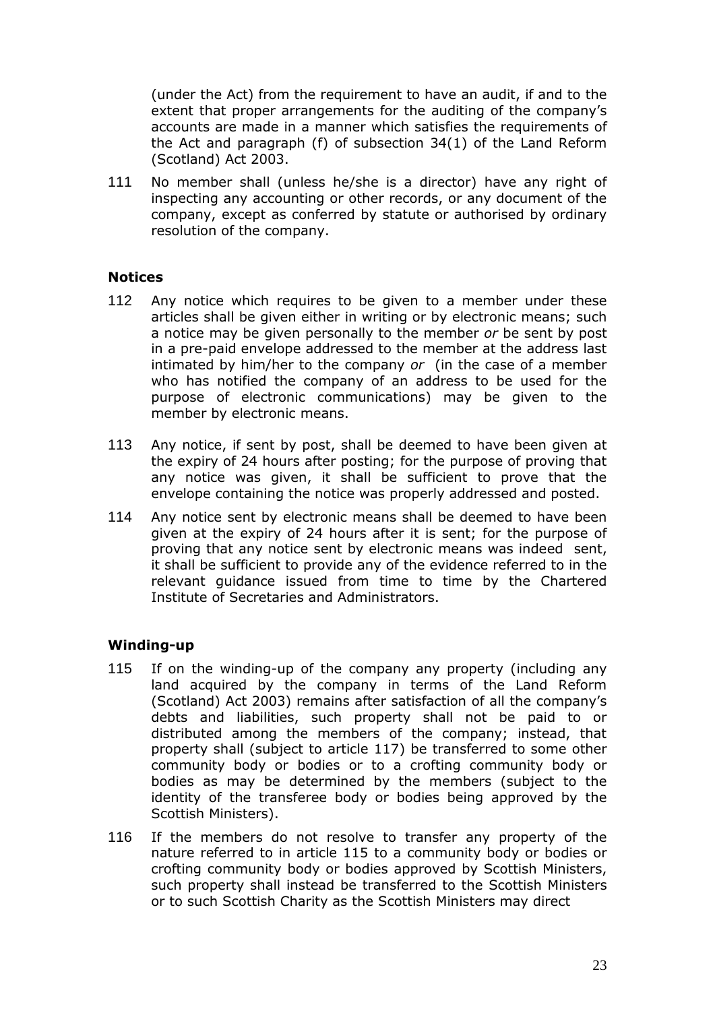(under the Act) from the requirement to have an audit, if and to the extent that proper arrangements for the auditing of the company's accounts are made in a manner which satisfies the requirements of the Act and paragraph (f) of subsection 34(1) of the Land Reform (Scotland) Act 2003.

111 No member shall (unless he/she is a director) have any right of inspecting any accounting or other records, or any document of the company, except as conferred by statute or authorised by ordinary resolution of the company.

#### **Notices**

- 112 Any notice which requires to be given to a member under these articles shall be given either in writing or by electronic means; such a notice may be given personally to the member *or* be sent by post in a pre-paid envelope addressed to the member at the address last intimated by him/her to the company *or* (in the case of a member who has notified the company of an address to be used for the purpose of electronic communications) may be given to the member by electronic means.
- 113 Any notice, if sent by post, shall be deemed to have been given at the expiry of 24 hours after posting; for the purpose of proving that any notice was given, it shall be sufficient to prove that the envelope containing the notice was properly addressed and posted.
- 114 Any notice sent by electronic means shall be deemed to have been given at the expiry of 24 hours after it is sent; for the purpose of proving that any notice sent by electronic means was indeed sent, it shall be sufficient to provide any of the evidence referred to in the relevant guidance issued from time to time by the Chartered Institute of Secretaries and Administrators.

## **Winding-up**

- 115 If on the winding-up of the company any property (including any land acquired by the company in terms of the Land Reform (Scotland) Act 2003) remains after satisfaction of all the company's debts and liabilities, such property shall not be paid to or distributed among the members of the company; instead, that property shall (subject to article 117) be transferred to some other community body or bodies or to a crofting community body or bodies as may be determined by the members (subject to the identity of the transferee body or bodies being approved by the Scottish Ministers).
- 116 If the members do not resolve to transfer any property of the nature referred to in article 115 to a community body or bodies or crofting community body or bodies approved by Scottish Ministers, such property shall instead be transferred to the Scottish Ministers or to such Scottish Charity as the Scottish Ministers may direct